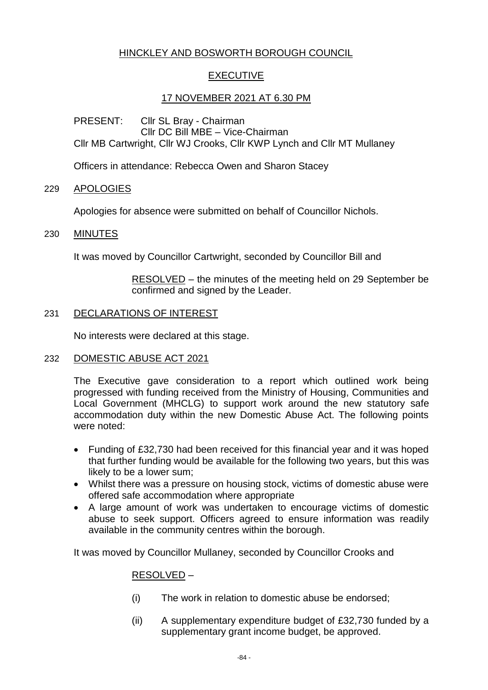# HINCKLEY AND BOSWORTH BOROUGH COUNCIL

## EXECUTIVE

## 17 NOVEMBER 2021 AT 6.30 PM

PRESENT: Cllr SL Bray - Chairman Cllr DC Bill MBE – Vice-Chairman Cllr MB Cartwright, Cllr WJ Crooks, Cllr KWP Lynch and Cllr MT Mullaney

Officers in attendance: Rebecca Owen and Sharon Stacey

### 229 APOLOGIES

Apologies for absence were submitted on behalf of Councillor Nichols.

### 230 MINUTES

It was moved by Councillor Cartwright, seconded by Councillor Bill and

RESOLVED – the minutes of the meeting held on 29 September be confirmed and signed by the Leader.

### 231 DECLARATIONS OF INTEREST

No interests were declared at this stage.

### 232 DOMESTIC ABUSE ACT 2021

The Executive gave consideration to a report which outlined work being progressed with funding received from the Ministry of Housing, Communities and Local Government (MHCLG) to support work around the new statutory safe accommodation duty within the new Domestic Abuse Act. The following points were noted:

- Funding of £32,730 had been received for this financial year and it was hoped that further funding would be available for the following two years, but this was likely to be a lower sum;
- Whilst there was a pressure on housing stock, victims of domestic abuse were offered safe accommodation where appropriate
- A large amount of work was undertaken to encourage victims of domestic abuse to seek support. Officers agreed to ensure information was readily available in the community centres within the borough.

It was moved by Councillor Mullaney, seconded by Councillor Crooks and

### RESOLVED –

- (i) The work in relation to domestic abuse be endorsed;
- (ii) A supplementary expenditure budget of £32,730 funded by a supplementary grant income budget, be approved.